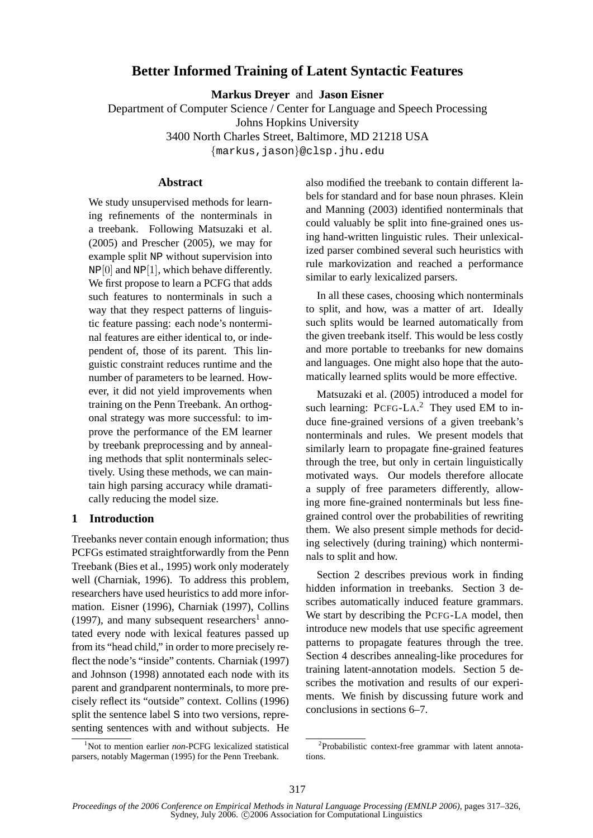# **Better Informed Training of Latent Syntactic Features**

**Markus Dreyer** and **Jason Eisner**

Department of Computer Science / Center for Language and Speech Processing Johns Hopkins University 3400 North Charles Street, Baltimore, MD 21218 USA

{markus,jason}@clsp.jhu.edu

### **Abstract**

We study unsupervised methods for learning refinements of the nonterminals in a treebank. Following Matsuzaki et al. (2005) and Prescher (2005), we may for example split NP without supervision into  $NP[0]$  and  $NP[1]$ , which behave differently. We first propose to learn a PCFG that adds such features to nonterminals in such a way that they respect patterns of linguistic feature passing: each node's nonterminal features are either identical to, or independent of, those of its parent. This linguistic constraint reduces runtime and the number of parameters to be learned. However, it did not yield improvements when training on the Penn Treebank. An orthogonal strategy was more successful: to improve the performance of the EM learner by treebank preprocessing and by annealing methods that split nonterminals selectively. Using these methods, we can maintain high parsing accuracy while dramatically reducing the model size.

## **1 Introduction**

Treebanks never contain enough information; thus PCFGs estimated straightforwardly from the Penn Treebank (Bies et al., 1995) work only moderately well (Charniak, 1996). To address this problem, researchers have used heuristics to add more information. Eisner (1996), Charniak (1997), Collins  $(1997)$ , and many subsequent researchers<sup>1</sup> annotated every node with lexical features passed up from its "head child," in order to more precisely reflect the node's "inside" contents. Charniak (1997) and Johnson (1998) annotated each node with its parent and grandparent nonterminals, to more precisely reflect its "outside" context. Collins (1996) split the sentence label S into two versions, representing sentences with and without subjects. He

<sup>1</sup>Not to mention earlier *non*-PCFG lexicalized statistical parsers, notably Magerman (1995) for the Penn Treebank.

also modified the treebank to contain different labels for standard and for base noun phrases. Klein and Manning (2003) identified nonterminals that could valuably be split into fine-grained ones using hand-written linguistic rules. Their unlexicalized parser combined several such heuristics with rule markovization and reached a performance similar to early lexicalized parsers.

In all these cases, choosing which nonterminals to split, and how, was a matter of art. Ideally such splits would be learned automatically from the given treebank itself. This would be less costly and more portable to treebanks for new domains and languages. One might also hope that the automatically learned splits would be more effective.

Matsuzaki et al. (2005) introduced a model for such learning: PCFG-LA.<sup>2</sup> They used EM to induce fine-grained versions of a given treebank's nonterminals and rules. We present models that similarly learn to propagate fine-grained features through the tree, but only in certain linguistically motivated ways. Our models therefore allocate a supply of free parameters differently, allowing more fine-grained nonterminals but less finegrained control over the probabilities of rewriting them. We also present simple methods for deciding selectively (during training) which nonterminals to split and how.

Section 2 describes previous work in finding hidden information in treebanks. Section 3 describes automatically induced feature grammars. We start by describing the PCFG-LA model, then introduce new models that use specific agreement patterns to propagate features through the tree. Section 4 describes annealing-like procedures for training latent-annotation models. Section 5 describes the motivation and results of our experiments. We finish by discussing future work and conclusions in sections 6–7.

<sup>&</sup>lt;sup>2</sup>Probabilistic context-free grammar with latent annotations.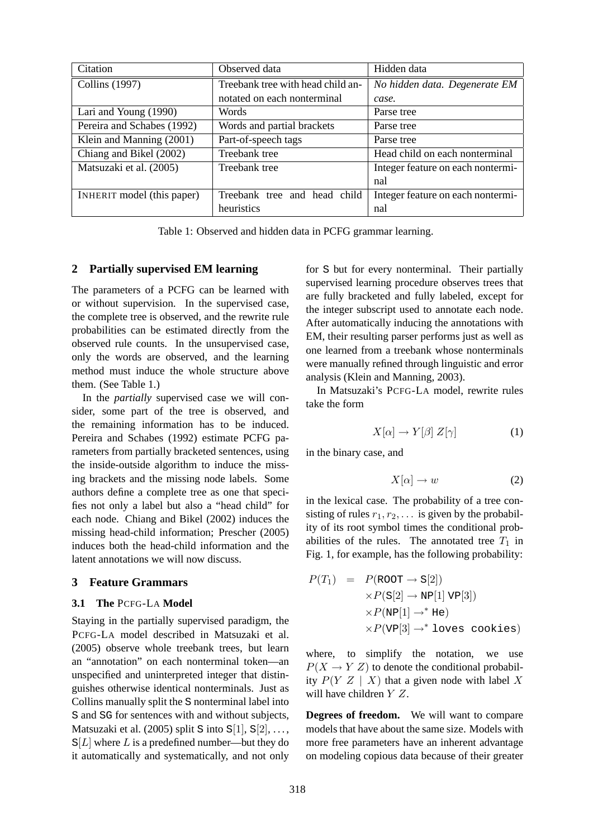| Citation                   | Observed data                     | Hidden data                       |  |  |  |
|----------------------------|-----------------------------------|-----------------------------------|--|--|--|
| Collins (1997)             | Treebank tree with head child an- | No hidden data. Degenerate EM     |  |  |  |
|                            | notated on each nonterminal       | case.                             |  |  |  |
| Lari and Young (1990)      | Words                             | Parse tree                        |  |  |  |
| Pereira and Schabes (1992) | Words and partial brackets        | Parse tree                        |  |  |  |
| Klein and Manning (2001)   | Part-of-speech tags               | Parse tree                        |  |  |  |
| Chiang and Bikel (2002)    | Treebank tree                     | Head child on each nonterminal    |  |  |  |
| Matsuzaki et al. (2005)    | Treebank tree                     | Integer feature on each nontermi- |  |  |  |
|                            |                                   | nal                               |  |  |  |
| INHERIT model (this paper) | Treebank tree and head child      | Integer feature on each nontermi- |  |  |  |
|                            | heuristics                        | nal                               |  |  |  |

Table 1: Observed and hidden data in PCFG grammar learning.

## **2 Partially supervised EM learning**

The parameters of a PCFG can be learned with or without supervision. In the supervised case, the complete tree is observed, and the rewrite rule probabilities can be estimated directly from the observed rule counts. In the unsupervised case, only the words are observed, and the learning method must induce the whole structure above them. (See Table 1.)

In the *partially* supervised case we will consider, some part of the tree is observed, and the remaining information has to be induced. Pereira and Schabes (1992) estimate PCFG parameters from partially bracketed sentences, using the inside-outside algorithm to induce the missing brackets and the missing node labels. Some authors define a complete tree as one that specifies not only a label but also a "head child" for each node. Chiang and Bikel (2002) induces the missing head-child information; Prescher (2005) induces both the head-child information and the latent annotations we will now discuss.

# **3 Feature Grammars**

#### **3.1 The** PCFG-LA **Model**

Staying in the partially supervised paradigm, the PCFG-LA model described in Matsuzaki et al. (2005) observe whole treebank trees, but learn an "annotation" on each nonterminal token—an unspecified and uninterpreted integer that distinguishes otherwise identical nonterminals. Just as Collins manually split the S nonterminal label into S and SG for sentences with and without subjects, Matsuzaki et al. (2005) split S into  $S[1], S[2], \ldots$ ,  $S[L]$  where L is a predefined number—but they do it automatically and systematically, and not only

for S but for every nonterminal. Their partially supervised learning procedure observes trees that are fully bracketed and fully labeled, except for the integer subscript used to annotate each node. After automatically inducing the annotations with EM, their resulting parser performs just as well as one learned from a treebank whose nonterminals were manually refined through linguistic and error analysis (Klein and Manning, 2003).

In Matsuzaki's PCFG-LA model, rewrite rules take the form

$$
X[\alpha] \to Y[\beta] \, Z[\gamma] \tag{1}
$$

in the binary case, and

$$
X[\alpha] \to w \tag{2}
$$

in the lexical case. The probability of a tree consisting of rules  $r_1, r_2, \ldots$  is given by the probability of its root symbol times the conditional probabilities of the rules. The annotated tree  $T_1$  in Fig. 1, for example, has the following probability:

$$
P(T_1) = P(\text{ROT} \rightarrow \text{S}[2])
$$
  
\n
$$
\times P(\text{S}[2] \rightarrow \text{NP}[1] \text{ VP}[3])
$$
  
\n
$$
\times P(\text{NP}[1] \rightarrow^* \text{He})
$$
  
\n
$$
\times P(\text{VP}[3] \rightarrow^* \text{loves cookies})
$$

where, to simplify the notation, we use  $P(X \rightarrow Y Z)$  to denote the conditional probability  $P(Y|Z \mid X)$  that a given node with label X will have children Y Z.

**Degrees of freedom.** We will want to compare models that have about the same size. Models with more free parameters have an inherent advantage on modeling copious data because of their greater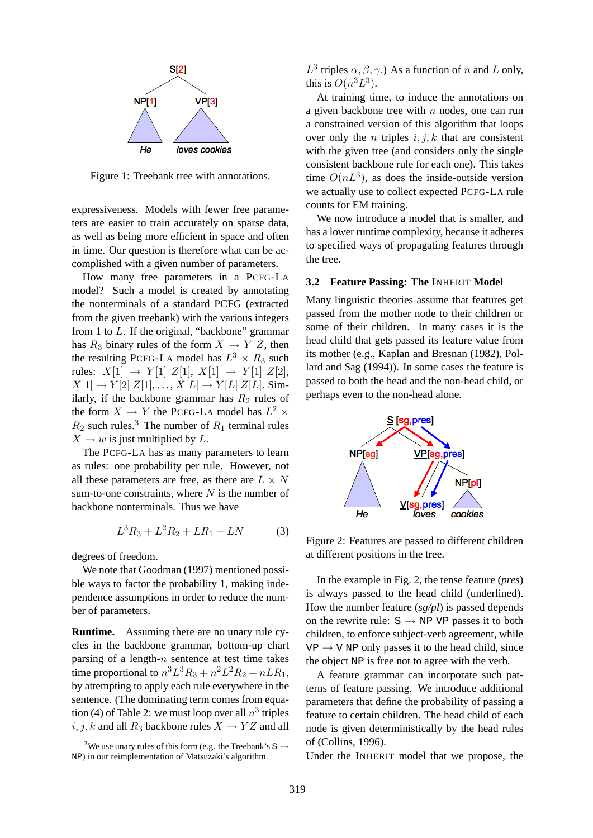

Figure 1: Treebank tree with annotations.

expressiveness. Models with fewer free parameters are easier to train accurately on sparse data, as well as being more efficient in space and often in time. Our question is therefore what can be accomplished with a given number of parameters.

How many free parameters in a PCFG-LA model? Such a model is created by annotating the nonterminals of a standard PCFG (extracted from the given treebank) with the various integers from 1 to L. If the original, "backbone" grammar has  $R_3$  binary rules of the form  $X \to Y Z$ , then the resulting PCFG-LA model has  $L^3 \times R_3$  such rules:  $X[1] \rightarrow Y[1] \, Z[1], \, X[1] \rightarrow Y[1] \, Z[2],$  $X[1] \rightarrow Y[2]$   $Z[1], \ldots, X[L] \rightarrow Y[L]$   $Z[L]$ . Similarly, if the backbone grammar has  $R_2$  rules of the form  $X \to Y$  the PCFG-LA model has  $L^2 \times$  $R_2$  such rules.<sup>3</sup> The number of  $R_1$  terminal rules  $X \to w$  is just multiplied by L.

The PCFG-LA has as many parameters to learn as rules: one probability per rule. However, not all these parameters are free, as there are  $L \times N$ sum-to-one constraints, where  $N$  is the number of backbone nonterminals. Thus we have

$$
L^3 R_3 + L^2 R_2 + L R_1 - L N \tag{3}
$$

degrees of freedom.

We note that Goodman (1997) mentioned possible ways to factor the probability 1, making independence assumptions in order to reduce the number of parameters.

**Runtime.** Assuming there are no unary rule cycles in the backbone grammar, bottom-up chart parsing of a length- $n$  sentence at test time takes time proportional to  $n^3L^3R_3 + n^2L^2R_2 + nLR_1$ , by attempting to apply each rule everywhere in the sentence. (The dominating term comes from equation (4) of Table 2: we must loop over all  $n^3$  triples i, j, k and all  $R_3$  backbone rules  $X \to YZ$  and all  $L^3$  triples  $\alpha, \beta, \gamma$ .) As a function of n and L only, this is  $O(n^3L^3)$ .

At training time, to induce the annotations on a given backbone tree with  $n$  nodes, one can run a constrained version of this algorithm that loops over only the *n* triples  $i, j, k$  that are consistent with the given tree (and considers only the single consistent backbone rule for each one). This takes time  $O(nL^3)$ , as does the inside-outside version we actually use to collect expected PCFG-LA rule counts for EM training.

We now introduce a model that is smaller, and has a lower runtime complexity, because it adheres to specified ways of propagating features through the tree.

#### **3.2 Feature Passing: The** INHERIT **Model**

Many linguistic theories assume that features get passed from the mother node to their children or some of their children. In many cases it is the head child that gets passed its feature value from its mother (e.g., Kaplan and Bresnan (1982), Pollard and Sag (1994)). In some cases the feature is passed to both the head and the non-head child, or perhaps even to the non-head alone.



Figure 2: Features are passed to different children at different positions in the tree.

In the example in Fig. 2, the tense feature (*pres*) is always passed to the head child (underlined). How the number feature (*sg/pl*) is passed depends on the rewrite rule:  $S \rightarrow NP VP$  passes it to both children, to enforce subject-verb agreement, while  $VP \rightarrow V NP$  only passes it to the head child, since the object NP is free not to agree with the verb.

A feature grammar can incorporate such patterns of feature passing. We introduce additional parameters that define the probability of passing a feature to certain children. The head child of each node is given deterministically by the head rules of (Collins, 1996).

Under the INHERIT model that we propose, the

<sup>&</sup>lt;sup>3</sup>We use unary rules of this form (e.g. the Treebank's  $S \rightarrow$ NP) in our reimplementation of Matsuzaki's algorithm.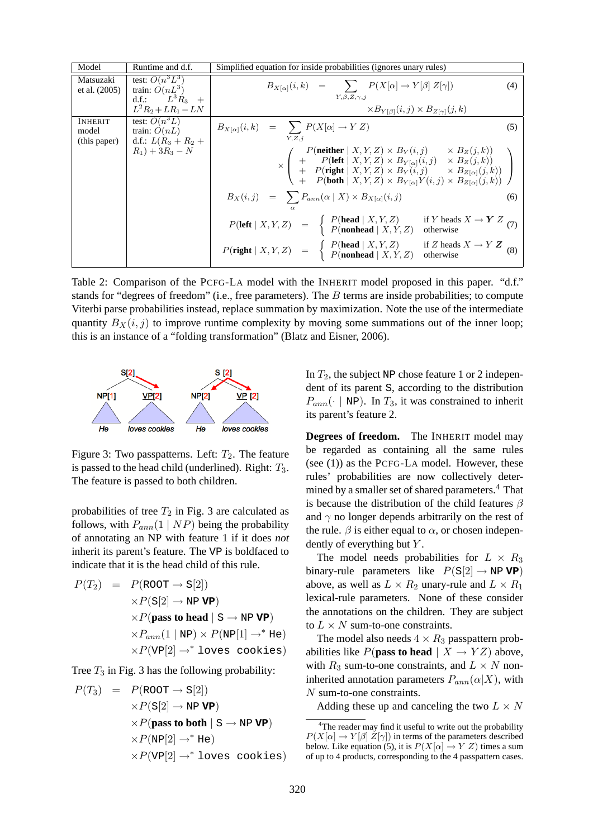| Model                        | Runtime and d.f.                                                 | Simplified equation for inside probabilities (ignores unary rules)                                                                                                                                                                                                                                                                                    |     |  |  |
|------------------------------|------------------------------------------------------------------|-------------------------------------------------------------------------------------------------------------------------------------------------------------------------------------------------------------------------------------------------------------------------------------------------------------------------------------------------------|-----|--|--|
| Matsuzaki<br>et al. $(2005)$ | test: $O(n^3L^3)$<br>train: $\dot{O}(nL^3)$<br>d.f.: $L^3 R_3$ + | $B_{X[\alpha]}(i,k) = \sum P(X[\alpha] \rightarrow Y[\beta] Z[\gamma])$<br>$Y, \beta, Z, \gamma, i$                                                                                                                                                                                                                                                   | (4) |  |  |
|                              | $L^2R_2 + LR_1 - LN$                                             | $\times B_{Y[\beta]}(i,j) \times B_{Z[\gamma]}(j,k)$                                                                                                                                                                                                                                                                                                  |     |  |  |
| INHERIT<br>model             | test: $\overline{O(n^3L)}$<br>train: $O(nL)$                     | $B_{X[\alpha]}(i,k) = \sum P(X[\alpha] \to Y Z)$                                                                                                                                                                                                                                                                                                      | (5) |  |  |
| (this paper)                 | d.f.: $L(R_3 + R_2 +$<br>$R_1$ ) + 3 $R_3$ – N                   | Y,Z,i<br>$\times\left(\begin{array}{c c} P(\mbox{neither}\mid X,Y,Z)\times B_Y(i,j)&\times B_Z(j,k))\\ +P(\mbox{left}\mid X,Y,Z)\times B_{Y[\alpha]}(i,j)&\times B_Z(j,k))\\ +P(\mbox{right}\mid X,Y,Z)\times B_Y(i,j)&\times B_{Z[\alpha]}(j,k))\\ +P(\mbox{both}\mid X,Y,Z)\times B_{Y[\alpha]}Y(i,j)\times B_{Z[\alpha]}(j,k)) \end{array}\right)$ |     |  |  |
|                              |                                                                  | $B_X(i,j) = \sum P_{ann}(\alpha   X) \times B_{X[\alpha]}(i,j)$                                                                                                                                                                                                                                                                                       | (6) |  |  |
|                              |                                                                  | $P(\text{left}   X, Y, Z) = \begin{cases} P(\text{head}   X, Y, Z) & \text{if } Y \text{ heads } X \rightarrow Y Z \\ P(\text{nonhead}   X, Y, Z) & \text{otherwise} \end{cases}$ (7)                                                                                                                                                                 |     |  |  |
|                              |                                                                  | $P(\text{right}   X, Y, Z) = \begin{cases} P(\text{head}   X, Y, Z) & \text{if } Z \text{ heads } X \rightarrow Y Z \\ P(\text{nonhead}   X, Y, Z) & \text{otherwise} \end{cases}$ (8)                                                                                                                                                                |     |  |  |

Table 2: Comparison of the PCFG-LA model with the INHERIT model proposed in this paper. "d.f." stands for "degrees of freedom" (i.e., free parameters). The B terms are inside probabilities; to compute Viterbi parse probabilities instead, replace summation by maximization. Note the use of the intermediate quantity  $B_X(i, j)$  to improve runtime complexity by moving some summations out of the inner loop; this is an instance of a "folding transformation" (Blatz and Eisner, 2006).



Figure 3: Two passpatterns. Left:  $T_2$ . The feature is passed to the head child (underlined). Right:  $T_3$ . The feature is passed to both children.

probabilities of tree  $T_2$  in Fig. 3 are calculated as follows, with  $P_{ann}(1 | NP)$  being the probability of annotating an NP with feature 1 if it does *not* inherit its parent's feature. The VP is boldfaced to indicate that it is the head child of this rule.

$$
P(T_2) = P(\text{ROT} \rightarrow \text{S}[2])
$$
  
\n
$$
\times P(\text{S}[2] \rightarrow \text{NP VP})
$$
  
\n
$$
\times P(\text{pass to head } | \text{S} \rightarrow \text{NP VP})
$$
  
\n
$$
\times P_{ann}(1 | \text{NP}) \times P(\text{NP}[1] \rightarrow^* \text{He})
$$
  
\n
$$
\times P(\text{VP}[2] \rightarrow^* \text{loves cookies})
$$

Tree  $T_3$  in Fig. 3 has the following probability:

$$
P(T_3) = P(\text{ROT} \rightarrow \text{S}[2])
$$
  
\n
$$
\times P(\text{S}[2] \rightarrow \text{NP VP})
$$
  
\n
$$
\times P(\text{pass to both} | \text{S} \rightarrow \text{NP VP})
$$
  
\n
$$
\times P(\text{NP}[2] \rightarrow^* \text{He})
$$
  
\n
$$
\times P(\text{VP}[2] \rightarrow^* \text{loves cookies})
$$

In  $T_2$ , the subject NP chose feature 1 or 2 independent of its parent S, according to the distribution  $P_{ann}(\cdot \mid NP)$ . In  $T_3$ , it was constrained to inherit its parent's feature 2.

**Degrees of freedom.** The INHERIT model may be regarded as containing all the same rules (see (1)) as the PCFG-LA model. However, these rules' probabilities are now collectively determined by a smaller set of shared parameters.<sup>4</sup> That is because the distribution of the child features  $\beta$ and  $\gamma$  no longer depends arbitrarily on the rest of the rule.  $\beta$  is either equal to  $\alpha$ , or chosen independently of everything but  $Y$ .

The model needs probabilities for  $L \times R_3$ binary-rule parameters like  $P(S[2] \rightarrow NP \textbf{VP})$ above, as well as  $L \times R_2$  unary-rule and  $L \times R_1$ lexical-rule parameters. None of these consider the annotations on the children. They are subject to  $L \times N$  sum-to-one constraints.

The model also needs  $4 \times R_3$  passpattern probabilities like  $P$ (**pass to head**  $| X \rightarrow YZ$ ) above, with  $R_3$  sum-to-one constraints, and  $L \times N$  noninherited annotation parameters  $P_{ann}(\alpha|X)$ , with N sum-to-one constraints.

Adding these up and canceling the two  $L \times N$ 

<sup>&</sup>lt;sup>4</sup>The reader may find it useful to write out the probability  $P(X[\alpha] \to Y[\beta] Z[\gamma])$  in terms of the parameters described below. Like equation (5), it is  $P(X[\alpha] \rightarrow Y Z)$  times a sum of up to 4 products, corresponding to the 4 passpattern cases.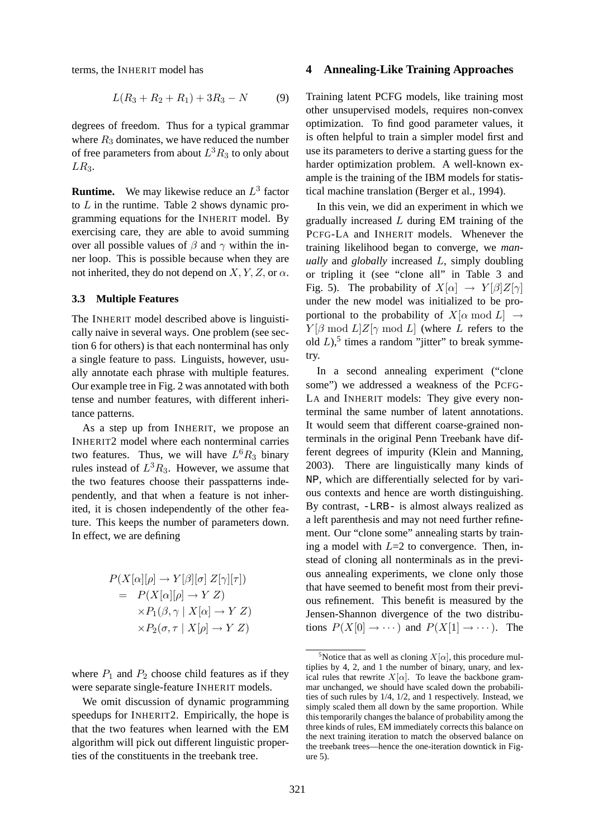terms, the INHERIT model has

$$
L(R_3 + R_2 + R_1) + 3R_3 - N \tag{9}
$$

degrees of freedom. Thus for a typical grammar where  $R_3$  dominates, we have reduced the number of free parameters from about  $L^3R_3$  to only about  $LR<sub>3</sub>$ .

**Runtime.** We may likewise reduce an  $L^3$  factor to  $L$  in the runtime. Table 2 shows dynamic programming equations for the INHERIT model. By exercising care, they are able to avoid summing over all possible values of  $\beta$  and  $\gamma$  within the inner loop. This is possible because when they are not inherited, they do not depend on  $X, Y, Z$ , or  $\alpha$ .

#### **3.3 Multiple Features**

The INHERIT model described above is linguistically naive in several ways. One problem (see section 6 for others) is that each nonterminal has only a single feature to pass. Linguists, however, usually annotate each phrase with multiple features. Our example tree in Fig. 2 was annotated with both tense and number features, with different inheritance patterns.

As a step up from INHERIT, we propose an INHERIT2 model where each nonterminal carries two features. Thus, we will have  $L^6R_3$  binary rules instead of  $L^3R_3$ . However, we assume that the two features choose their passpatterns independently, and that when a feature is not inherited, it is chosen independently of the other feature. This keeps the number of parameters down. In effect, we are defining

$$
P(X[\alpha][\rho] \to Y[\beta][\sigma] Z[\gamma][\tau])
$$
  
=  $P(X[\alpha][\rho] \to Y Z)$   
 $\times P_1(\beta, \gamma | X[\alpha] \to Y Z)$   
 $\times P_2(\sigma, \tau | X[\rho] \to Y Z)$ 

where  $P_1$  and  $P_2$  choose child features as if they were separate single-feature INHERIT models.

We omit discussion of dynamic programming speedups for INHERIT2. Empirically, the hope is that the two features when learned with the EM algorithm will pick out different linguistic properties of the constituents in the treebank tree.

#### **4 Annealing-Like Training Approaches**

Training latent PCFG models, like training most other unsupervised models, requires non-convex optimization. To find good parameter values, it is often helpful to train a simpler model first and use its parameters to derive a starting guess for the harder optimization problem. A well-known example is the training of the IBM models for statistical machine translation (Berger et al., 1994).

In this vein, we did an experiment in which we gradually increased L during EM training of the PCFG-LA and INHERIT models. Whenever the training likelihood began to converge, we *manually* and *globally* increased L, simply doubling or tripling it (see "clone all" in Table 3 and Fig. 5). The probability of  $X[\alpha] \rightarrow Y[\beta]Z[\gamma]$ under the new model was initialized to be proportional to the probability of  $X[\alpha \mod L] \rightarrow$  $Y[\beta \mod L]Z[\gamma \mod L]$  (where L refers to the old  $L$ ),<sup>5</sup> times a random "jitter" to break symmetry.

In a second annealing experiment ("clone some") we addressed a weakness of the PCFG-LA and INHERIT models: They give every nonterminal the same number of latent annotations. It would seem that different coarse-grained nonterminals in the original Penn Treebank have different degrees of impurity (Klein and Manning, 2003). There are linguistically many kinds of NP, which are differentially selected for by various contexts and hence are worth distinguishing. By contrast, -LRB- is almost always realized as a left parenthesis and may not need further refinement. Our "clone some" annealing starts by training a model with  $L=2$  to convergence. Then, instead of cloning all nonterminals as in the previous annealing experiments, we clone only those that have seemed to benefit most from their previous refinement. This benefit is measured by the Jensen-Shannon divergence of the two distributions  $P(X[0] \rightarrow \cdots)$  and  $P(X[1] \rightarrow \cdots)$ . The

<sup>&</sup>lt;sup>5</sup>Notice that as well as cloning  $X[\alpha]$ , this procedure multiplies by 4, 2, and 1 the number of binary, unary, and lexical rules that rewrite  $X[\alpha]$ . To leave the backbone grammar unchanged, we should have scaled down the probabilities of such rules by 1/4, 1/2, and 1 respectively. Instead, we simply scaled them all down by the same proportion. While this temporarily changes the balance of probability among the three kinds of rules, EM immediately corrects this balance on the next training iteration to match the observed balance on the treebank trees—hence the one-iteration downtick in Figure 5).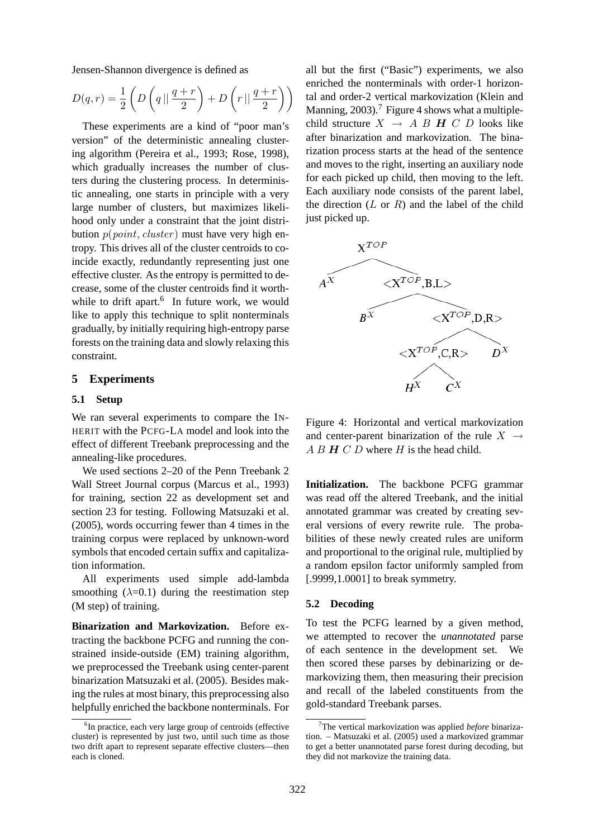Jensen-Shannon divergence is defined as

$$
D(q,r) = \frac{1}{2} \left( D\left( q \mid \mid \frac{q+r}{2} \right) + D\left( r \mid \mid \frac{q+r}{2} \right) \right)
$$

These experiments are a kind of "poor man's version" of the deterministic annealing clustering algorithm (Pereira et al., 1993; Rose, 1998), which gradually increases the number of clusters during the clustering process. In deterministic annealing, one starts in principle with a very large number of clusters, but maximizes likelihood only under a constraint that the joint distribution  $p(\textit{point}, \textit{cluster})$  must have very high entropy. This drives all of the cluster centroids to coincide exactly, redundantly representing just one effective cluster. As the entropy is permitted to decrease, some of the cluster centroids find it worthwhile to drift apart.<sup>6</sup> In future work, we would like to apply this technique to split nonterminals gradually, by initially requiring high-entropy parse forests on the training data and slowly relaxing this constraint.

### **5 Experiments**

### **5.1 Setup**

We ran several experiments to compare the IN-HERIT with the PCFG-LA model and look into the effect of different Treebank preprocessing and the annealing-like procedures.

We used sections 2–20 of the Penn Treebank 2 Wall Street Journal corpus (Marcus et al., 1993) for training, section 22 as development set and section 23 for testing. Following Matsuzaki et al. (2005), words occurring fewer than 4 times in the training corpus were replaced by unknown-word symbols that encoded certain suffix and capitalization information.

All experiments used simple add-lambda smoothing  $(\lambda=0.1)$  during the reestimation step (M step) of training.

**Binarization and Markovization.** Before extracting the backbone PCFG and running the constrained inside-outside (EM) training algorithm, we preprocessed the Treebank using center-parent binarization Matsuzaki et al. (2005). Besides making the rules at most binary, this preprocessing also helpfully enriched the backbone nonterminals. For

all but the first ("Basic") experiments, we also enriched the nonterminals with order-1 horizontal and order-2 vertical markovization (Klein and Manning, 2003).<sup>7</sup> Figure 4 shows what a multiplechild structure  $X \rightarrow AB H C D$  looks like after binarization and markovization. The binarization process starts at the head of the sentence and moves to the right, inserting an auxiliary node for each picked up child, then moving to the left. Each auxiliary node consists of the parent label, the direction  $(L \text{ or } R)$  and the label of the child just picked up.



Figure 4: Horizontal and vertical markovization and center-parent binarization of the rule  $X \rightarrow$  $A B H C D$  where H is the head child.

**Initialization.** The backbone PCFG grammar was read off the altered Treebank, and the initial annotated grammar was created by creating several versions of every rewrite rule. The probabilities of these newly created rules are uniform and proportional to the original rule, multiplied by a random epsilon factor uniformly sampled from [.9999,1.0001] to break symmetry.

### **5.2 Decoding**

To test the PCFG learned by a given method, we attempted to recover the *unannotated* parse of each sentence in the development set. We then scored these parses by debinarizing or demarkovizing them, then measuring their precision and recall of the labeled constituents from the gold-standard Treebank parses.

<sup>&</sup>lt;sup>6</sup>In practice, each very large group of centroids (effective cluster) is represented by just two, until such time as those two drift apart to represent separate effective clusters—then each is cloned.

<sup>7</sup>The vertical markovization was applied *before* binarization. – Matsuzaki et al. (2005) used a markovized grammar to get a better unannotated parse forest during decoding, but they did not markovize the training data.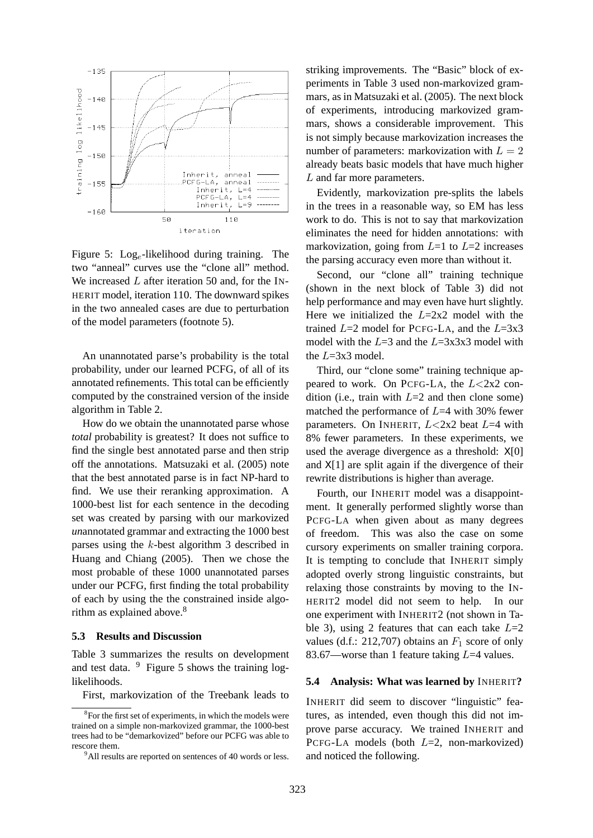

Figure 5:  $\text{Log}_e$ -likelihood during training. The two "anneal" curves use the "clone all" method. We increased  $L$  after iteration 50 and, for the IN-HERIT model, iteration 110. The downward spikes in the two annealed cases are due to perturbation of the model parameters (footnote 5).

An unannotated parse's probability is the total probability, under our learned PCFG, of all of its annotated refinements. This total can be efficiently computed by the constrained version of the inside algorithm in Table 2.

How do we obtain the unannotated parse whose *total* probability is greatest? It does not suffice to find the single best annotated parse and then strip off the annotations. Matsuzaki et al. (2005) note that the best annotated parse is in fact NP-hard to find. We use their reranking approximation. A 1000-best list for each sentence in the decoding set was created by parsing with our markovized *un*annotated grammar and extracting the 1000 best parses using the k-best algorithm 3 described in Huang and Chiang (2005). Then we chose the most probable of these 1000 unannotated parses under our PCFG, first finding the total probability of each by using the the constrained inside algorithm as explained above.<sup>8</sup>

#### **5.3 Results and Discussion**

Table 3 summarizes the results on development and test data.  $9$  Figure 5 shows the training loglikelihoods.

First, markovization of the Treebank leads to

striking improvements. The "Basic" block of experiments in Table 3 used non-markovized grammars, as in Matsuzaki et al. (2005). The next block of experiments, introducing markovized grammars, shows a considerable improvement. This is not simply because markovization increases the number of parameters: markovization with  $L = 2$ already beats basic models that have much higher L and far more parameters.

Evidently, markovization pre-splits the labels in the trees in a reasonable way, so EM has less work to do. This is not to say that markovization eliminates the need for hidden annotations: with markovization, going from  $L=1$  to  $L=2$  increases the parsing accuracy even more than without it.

Second, our "clone all" training technique (shown in the next block of Table 3) did not help performance and may even have hurt slightly. Here we initialized the  $L=2x^2$  model with the trained  $L=2$  model for PCFG-LA, and the  $L=3x3$ model with the  $L=3$  and the  $L=3x3x3$  model with the  $L=3x3 \text{ model}$ .

Third, our "clone some" training technique appeared to work. On PCFG-LA, the  $L < 2x2$  condition (i.e., train with  $L=2$  and then clone some) matched the performance of  $L=4$  with 30% fewer parameters. On INHERIT,  $L < 2x2$  beat  $L = 4$  with 8% fewer parameters. In these experiments, we used the average divergence as a threshold: X[0] and  $X[1]$  are split again if the divergence of their rewrite distributions is higher than average.

Fourth, our INHERIT model was a disappointment. It generally performed slightly worse than PCFG-LA when given about as many degrees of freedom. This was also the case on some cursory experiments on smaller training corpora. It is tempting to conclude that INHERIT simply adopted overly strong linguistic constraints, but relaxing those constraints by moving to the IN-HERIT2 model did not seem to help. In our one experiment with INHERIT2 (not shown in Table 3), using 2 features that can each take  $L=2$ values (d.f.: 212,707) obtains an  $F_1$  score of only 83.67—worse than 1 feature taking  $L=4$  values.

## **5.4 Analysis: What was learned by** INHERIT**?**

INHERIT did seem to discover "linguistic" features, as intended, even though this did not improve parse accuracy. We trained INHERIT and PCFG-LA models (both  $L=2$ , non-markovized) and noticed the following.

<sup>&</sup>lt;sup>8</sup>For the first set of experiments, in which the models were trained on a simple non-markovized grammar, the 1000-best trees had to be "demarkovized" before our PCFG was able to rescore them.

<sup>&</sup>lt;sup>9</sup>All results are reported on sentences of 40 words or less.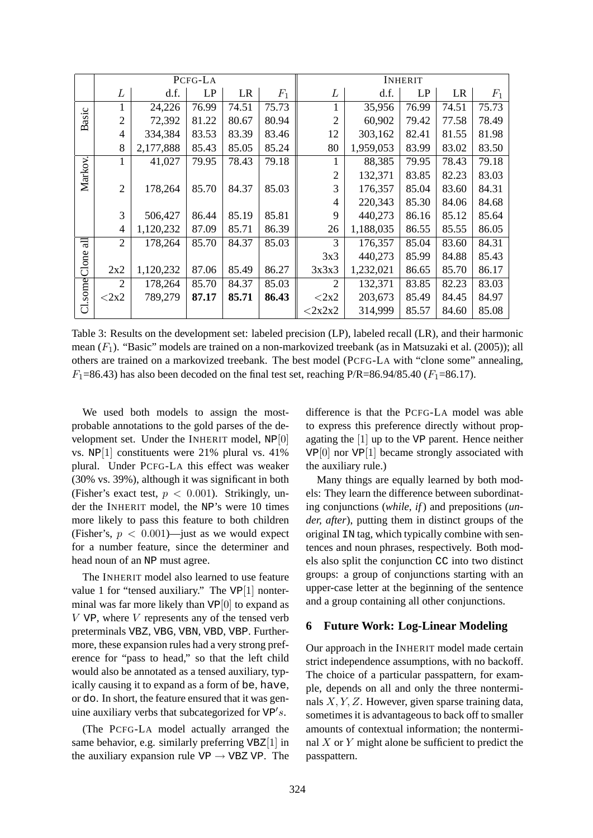|                     | PCFG-LA        |           |       |           | <b>INHERIT</b> |                |           |       |           |       |
|---------------------|----------------|-----------|-------|-----------|----------------|----------------|-----------|-------|-----------|-------|
|                     | L              | d.f.      | LP    | <b>LR</b> | $F_1$          | L              | d.f.      | LP    | <b>LR</b> | $F_1$ |
| Basic               | 1              | 24,226    | 76.99 | 74.51     | 75.73          |                | 35,956    | 76.99 | 74.51     | 75.73 |
|                     | $\overline{2}$ | 72,392    | 81.22 | 80.67     | 80.94          | $\overline{2}$ | 60,902    | 79.42 | 77.58     | 78.49 |
|                     | $\overline{4}$ | 334,384   | 83.53 | 83.39     | 83.46          | 12             | 303,162   | 82.41 | 81.55     | 81.98 |
|                     | 8              | 2,177,888 | 85.43 | 85.05     | 85.24          | 80             | 1,959,053 | 83.99 | 83.02     | 83.50 |
| Markov.             | 1              | 41,027    | 79.95 | 78.43     | 79.18          |                | 88,385    | 79.95 | 78.43     | 79.18 |
|                     |                |           |       |           |                | $\overline{2}$ | 132,371   | 83.85 | 82.23     | 83.03 |
|                     | $\overline{2}$ | 178,264   | 85.70 | 84.37     | 85.03          | 3              | 176,357   | 85.04 | 83.60     | 84.31 |
|                     |                |           |       |           |                | $\overline{4}$ | 220,343   | 85.30 | 84.06     | 84.68 |
|                     | 3              | 506,427   | 86.44 | 85.19     | 85.81          | 9              | 440,273   | 86.16 | 85.12     | 85.64 |
|                     | $\overline{4}$ | 1,120,232 | 87.09 | 85.71     | 86.39          | 26             | 1,188,035 | 86.55 | 85.55     | 86.05 |
| all                 | $\overline{2}$ | 178,264   | 85.70 | 84.37     | 85.03          | 3              | 176,357   | 85.04 | 83.60     | 84.31 |
| Clone<br>$C1$ .some |                |           |       |           |                | 3x3            | 440,273   | 85.99 | 84.88     | 85.43 |
|                     | 2x2            | 1,120,232 | 87.06 | 85.49     | 86.27          | 3x3x3          | 1,232,021 | 86.65 | 85.70     | 86.17 |
|                     | $\overline{2}$ | 178,264   | 85.70 | 84.37     | 85.03          | $\overline{2}$ | 132,371   | 83.85 | 82.23     | 83.03 |
|                     | $<$ 2x2        | 789,279   | 87.17 | 85.71     | 86.43          | $<$ 2x2        | 203,673   | 85.49 | 84.45     | 84.97 |
|                     |                |           |       |           |                | $<$ 2x2x2      | 314,999   | 85.57 | 84.60     | 85.08 |

Table 3: Results on the development set: labeled precision (LP), labeled recall (LR), and their harmonic mean  $(F_1)$ . "Basic" models are trained on a non-markovized treebank (as in Matsuzaki et al. (2005)); all others are trained on a markovized treebank. The best model (PCFG-LA with "clone some" annealing,  $F_1$ =86.43) has also been decoded on the final test set, reaching P/R=86.94/85.40 ( $F_1$ =86.17).

We used both models to assign the mostprobable annotations to the gold parses of the development set. Under the INHERIT model, NP[0] vs. NP[1] constituents were 21% plural vs. 41% plural. Under PCFG-LA this effect was weaker (30% vs. 39%), although it was significant in both (Fisher's exact test,  $p < 0.001$ ). Strikingly, under the INHERIT model, the NP's were 10 times more likely to pass this feature to both children (Fisher's,  $p < 0.001$ )—just as we would expect for a number feature, since the determiner and head noun of an NP must agree.

The INHERIT model also learned to use feature value 1 for "tensed auxiliary." The VP[1] nonterminal was far more likely than  $VP[0]$  to expand as  $V$  VP, where  $V$  represents any of the tensed verb preterminals VBZ, VBG, VBN, VBD, VBP. Furthermore, these expansion rules had a very strong preference for "pass to head," so that the left child would also be annotated as a tensed auxiliary, typically causing it to expand as a form of be, have, or do. In short, the feature ensured that it was genuine auxiliary verbs that subcategorized for  $VP's$ .

(The PCFG-LA model actually arranged the same behavior, e.g. similarly preferring  $VBZ[1]$  in the auxiliary expansion rule  $VP \rightarrow VBZ VP$ . The

difference is that the PCFG-LA model was able to express this preference directly without propagating the [1] up to the VP parent. Hence neither VP[0] nor VP[1] became strongly associated with the auxiliary rule.)

Many things are equally learned by both models: They learn the difference between subordinating conjunctions (*while, if*) and prepositions (*under, after*), putting them in distinct groups of the original IN tag, which typically combine with sentences and noun phrases, respectively. Both models also split the conjunction CC into two distinct groups: a group of conjunctions starting with an upper-case letter at the beginning of the sentence and a group containing all other conjunctions.

#### **6 Future Work: Log-Linear Modeling**

Our approach in the INHERIT model made certain strict independence assumptions, with no backoff. The choice of a particular passpattern, for example, depends on all and only the three nonterminals  $X, Y, Z$ . However, given sparse training data, sometimes it is advantageous to back off to smaller amounts of contextual information; the nonterminal  $X$  or  $Y$  might alone be sufficient to predict the passpattern.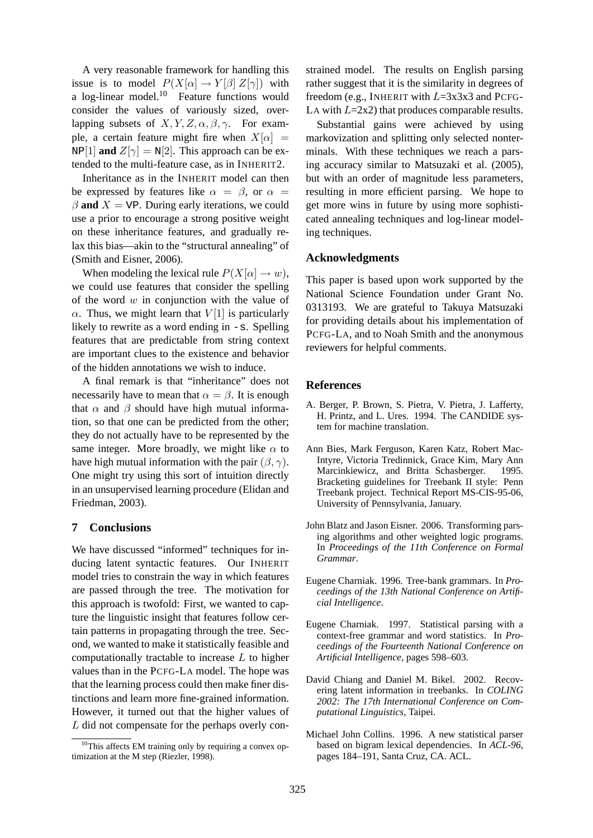A very reasonable framework for handling this issue is to model  $P(X[\alpha] \to Y[\beta] Z[\gamma])$  with a log-linear model.<sup>10</sup> Feature functions would consider the values of variously sized, overlapping subsets of  $X, Y, Z, \alpha, \beta, \gamma$ . For example, a certain feature might fire when  $X[\alpha] =$  $NP[1]$  **and**  $Z[\gamma] = N[2]$ . This approach can be extended to the multi-feature case, as in INHERIT2.

Inheritance as in the INHERIT model can then be expressed by features like  $\alpha = \beta$ , or  $\alpha =$  $\beta$  **and**  $X = VP$ . During early iterations, we could use a prior to encourage a strong positive weight on these inheritance features, and gradually relax this bias—akin to the "structural annealing" of (Smith and Eisner, 2006).

When modeling the lexical rule  $P(X[\alpha] \to w)$ , we could use features that consider the spelling of the word  $w$  in conjunction with the value of  $\alpha$ . Thus, we might learn that  $V[1]$  is particularly likely to rewrite as a word ending in  $-s$ . Spelling features that are predictable from string context are important clues to the existence and behavior of the hidden annotations we wish to induce.

A final remark is that "inheritance" does not necessarily have to mean that  $\alpha = \beta$ . It is enough that  $\alpha$  and  $\beta$  should have high mutual information, so that one can be predicted from the other; they do not actually have to be represented by the same integer. More broadly, we might like  $\alpha$  to have high mutual information with the pair  $(\beta, \gamma)$ . One might try using this sort of intuition directly in an unsupervised learning procedure (Elidan and Friedman, 2003).

# **7 Conclusions**

We have discussed "informed" techniques for inducing latent syntactic features. Our INHERIT model tries to constrain the way in which features are passed through the tree. The motivation for this approach is twofold: First, we wanted to capture the linguistic insight that features follow certain patterns in propagating through the tree. Second, we wanted to make it statistically feasible and computationally tractable to increase  $L$  to higher values than in the PCFG-LA model. The hope was that the learning process could then make finer distinctions and learn more fine-grained information. However, it turned out that the higher values of L did not compensate for the perhaps overly con-

strained model. The results on English parsing rather suggest that it is the similarity in degrees of freedom (e.g., INHERIT with  $L=3x3x3$  and PCFG-LA with  $L=2x2$ ) that produces comparable results.

Substantial gains were achieved by using markovization and splitting only selected nonterminals. With these techniques we reach a parsing accuracy similar to Matsuzaki et al. (2005), but with an order of magnitude less parameters, resulting in more efficient parsing. We hope to get more wins in future by using more sophisticated annealing techniques and log-linear modeling techniques.

# **Acknowledgments**

This paper is based upon work supported by the National Science Foundation under Grant No. 0313193. We are grateful to Takuya Matsuzaki for providing details about his implementation of PCFG-LA, and to Noah Smith and the anonymous reviewers for helpful comments.

### **References**

- A. Berger, P. Brown, S. Pietra, V. Pietra, J. Lafferty, H. Printz, and L. Ures. 1994. The CANDIDE system for machine translation.
- Ann Bies, Mark Ferguson, Karen Katz, Robert Mac-Intyre, Victoria Tredinnick, Grace Kim, Mary Ann Marcinkiewicz, and Britta Schasberger. 1995. Bracketing guidelines for Treebank II style: Penn Treebank project. Technical Report MS-CIS-95-06, University of Pennsylvania, January.
- John Blatz and Jason Eisner. 2006. Transforming parsing algorithms and other weighted logic programs. In *Proceedings of the 11th Conference on Formal Grammar*.
- Eugene Charniak. 1996. Tree-bank grammars. In *Proceedings of the 13th National Conference on Artificial Intelligence*.
- Eugene Charniak. 1997. Statistical parsing with a context-free grammar and word statistics. In *Proceedings of the Fourteenth National Conference on Artificial Intelligence*, pages 598–603.
- David Chiang and Daniel M. Bikel. 2002. Recovering latent information in treebanks. In *COLING 2002: The 17th International Conference on Computational Linguistics*, Taipei.
- Michael John Collins. 1996. A new statistical parser based on bigram lexical dependencies. In *ACL-96*, pages 184–191, Santa Cruz, CA. ACL.

 $10$ This affects EM training only by requiring a convex optimization at the M step (Riezler, 1998).